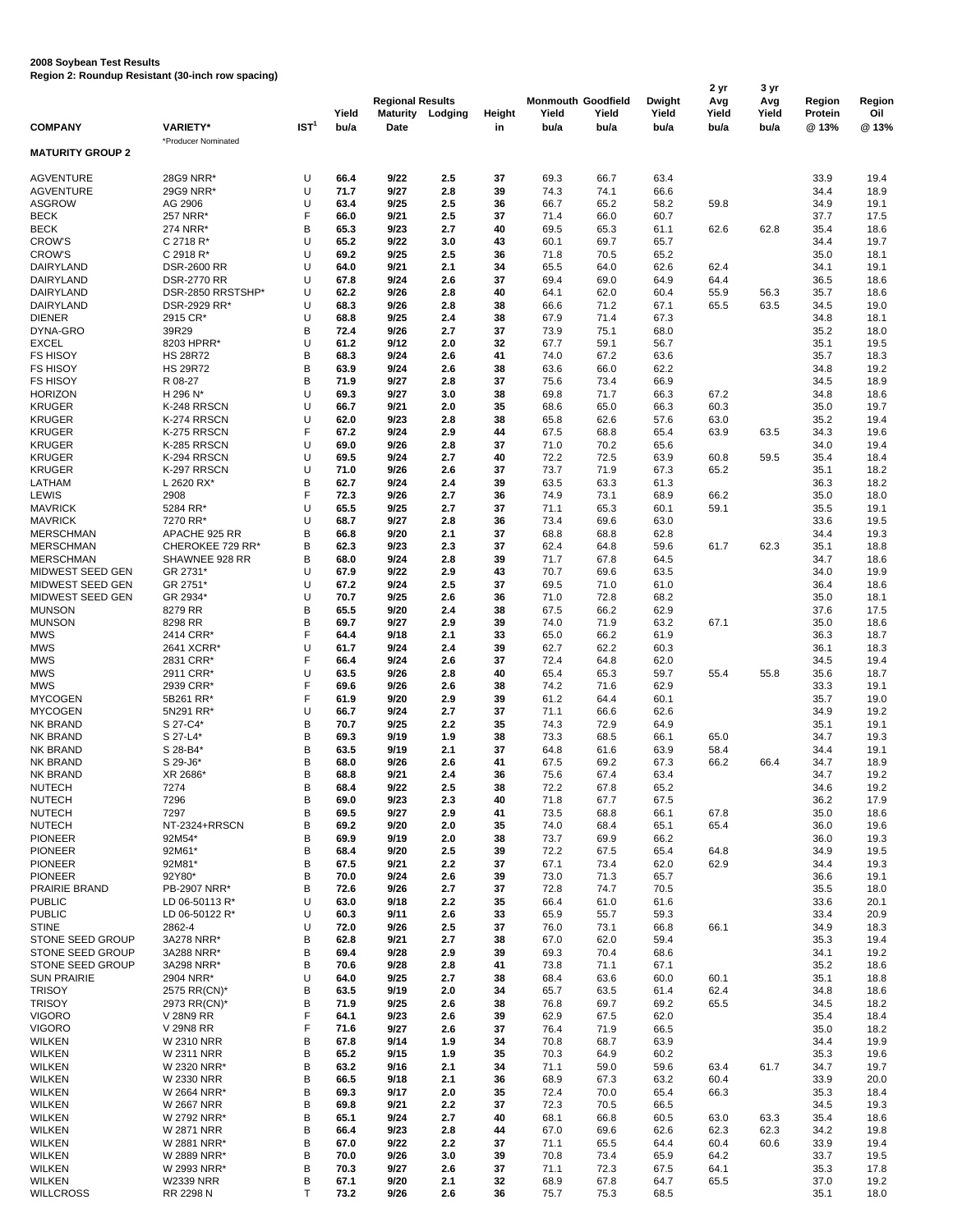## **2008 Soybean Test Results Region 2: Roundup Resistant (30-inch row spacing)**

| <b>COMPANY</b>                       | <b>VARIETY*</b>                   | IST <sup>1</sup> | Yield<br>bu/a | <b>Regional Results</b><br>Date | <b>Maturity Lodging</b> | Height<br>in | Yield<br>bu/a | <b>Monmouth Goodfield</b><br>Yield<br>bu/a | <b>Dwight</b><br>Yield<br>bu/a | 2 yr<br>Avg<br>Yield<br>bu/a | 3 yr<br>Avg<br>Yield<br>bu/a | Region<br>Protein<br>@ 13% | Region<br>Oil<br>@13% |
|--------------------------------------|-----------------------------------|------------------|---------------|---------------------------------|-------------------------|--------------|---------------|--------------------------------------------|--------------------------------|------------------------------|------------------------------|----------------------------|-----------------------|
| <b>MATURITY GROUP 2</b>              | *Producer Nominated               |                  |               |                                 |                         |              |               |                                            |                                |                              |                              |                            |                       |
| <b>AGVENTURE</b>                     | 28G9 NRR*                         | U                | 66.4          | 9/22                            | 2.5                     | 37           | 69.3          | 66.7                                       | 63.4                           |                              |                              | 33.9                       | 19.4                  |
| <b>AGVENTURE</b>                     | 29G9 NRR*                         | U                | 71.7          | 9/27                            | 2.8                     | 39           | 74.3          | 74.1                                       | 66.6                           |                              |                              | 34.4                       | 18.9                  |
| <b>ASGROW</b>                        | AG 2906                           | U                | 63.4          | 9/25                            | 2.5                     | 36           | 66.7          | 65.2                                       | 58.2                           | 59.8                         |                              | 34.9                       | 19.1                  |
| <b>BECK</b>                          | 257 NRR'                          | F                | 66.0          | 9/21                            | 2.5                     | 37           | 71.4          | 66.0                                       | 60.7                           |                              |                              | 37.7                       | 17.5                  |
| <b>BECK</b>                          | 274 NRR*                          | B                | 65.3          | 9/23                            | 2.7                     | 40           | 69.5          | 65.3                                       | 61.1                           | 62.6                         | 62.8                         | 35.4                       | 18.6                  |
| <b>CROW'S</b>                        | C 2718 R*                         | U                | 65.2          | 9/22                            | 3.0                     | 43           | 60.1          | 69.7                                       | 65.7                           |                              |                              | 34.4                       | 19.7                  |
| <b>CROW'S</b><br>DAIRYLAND           | C 2918 R*<br><b>DSR-2600 RR</b>   | U<br>U           | 69.2<br>64.0  | 9/25<br>9/21                    | 2.5<br>2.1              | 36<br>34     | 71.8<br>65.5  | 70.5<br>64.0                               | 65.2<br>62.6                   | 62.4                         |                              | 35.0<br>34.1               | 18.1<br>19.1          |
| DAIRYLAND                            | <b>DSR-2770 RR</b>                | U                | 67.8          | 9/24                            | 2.6                     | 37           | 69.4          | 69.0                                       | 64.9                           | 64.4                         |                              | 36.5                       | 18.6                  |
| DAIRYLAND                            | DSR-2850 RRSTSHP*                 | U                | 62.2          | 9/26                            | 2.8                     | 40           | 64.1          | 62.0                                       | 60.4                           | 55.9                         | 56.3                         | 35.7                       | 18.6                  |
| DAIRYLAND                            | DSR-2929 RR*                      | U                | 68.3          | 9/26                            | 2.8                     | 38           | 66.6          | 71.2                                       | 67.1                           | 65.5                         | 63.5                         | 34.5                       | 19.0                  |
| <b>DIENER</b>                        | 2915 CR*                          | U                | 68.8          | 9/25                            | 2.4                     | 38           | 67.9          | 71.4                                       | 67.3                           |                              |                              | 34.8                       | 18.1                  |
| DYNA-GRO                             | 39R29                             | B                | 72.4          | 9/26                            | 2.7                     | 37           | 73.9          | 75.1                                       | 68.0                           |                              |                              | 35.2                       | 18.0                  |
| <b>EXCEL</b><br><b>FS HISOY</b>      | 8203 HPRR*<br><b>HS 28R72</b>     | U<br>B           | 61.2<br>68.3  | 9/12<br>9/24                    | 2.0<br>2.6              | 32<br>41     | 67.7<br>74.0  | 59.1<br>67.2                               | 56.7<br>63.6                   |                              |                              | 35.1<br>35.7               | 19.5<br>18.3          |
| <b>FS HISOY</b>                      | <b>HS 29R72</b>                   | B                | 63.9          | 9/24                            | 2.6                     | 38           | 63.6          | 66.0                                       | 62.2                           |                              |                              | 34.8                       | 19.2                  |
| <b>FS HISOY</b>                      | R 08-27                           | B                | 71.9          | 9/27                            | 2.8                     | 37           | 75.6          | 73.4                                       | 66.9                           |                              |                              | 34.5                       | 18.9                  |
| <b>HORIZON</b>                       | H 296 N*                          | U                | 69.3          | 9/27                            | 3.0                     | 38           | 69.8          | 71.7                                       | 66.3                           | 67.2                         |                              | 34.8                       | 18.6                  |
| <b>KRUGER</b>                        | K-248 RRSCN                       | U                | 66.7          | 9/21                            | 2.0                     | 35           | 68.6          | 65.0                                       | 66.3                           | 60.3                         |                              | 35.0                       | 19.7                  |
| <b>KRUGER</b>                        | K-274 RRSCN                       | U                | 62.0          | 9/23                            | 2.8                     | 38           | 65.8          | 62.6                                       | 57.6                           | 63.0                         |                              | 35.2                       | 19.4                  |
| <b>KRUGER</b>                        | K-275 RRSCN                       | F<br>U           | 67.2          | 9/24                            | 2.9                     | 44<br>37     | 67.5          | 68.8                                       | 65.4                           | 63.9                         | 63.5                         | 34.3                       | 19.6                  |
| <b>KRUGER</b><br><b>KRUGER</b>       | K-285 RRSCN<br>K-294 RRSCN        | U                | 69.0<br>69.5  | 9/26<br>9/24                    | 2.8<br>2.7              | 40           | 71.0<br>72.2  | 70.2<br>72.5                               | 65.6<br>63.9                   | 60.8                         | 59.5                         | 34.0<br>35.4               | 19.4<br>18.4          |
| <b>KRUGER</b>                        | K-297 RRSCN                       | U                | 71.0          | 9/26                            | 2.6                     | 37           | 73.7          | 71.9                                       | 67.3                           | 65.2                         |                              | 35.1                       | 18.2                  |
| LATHAM                               | L 2620 RX*                        | B                | 62.7          | 9/24                            | 2.4                     | 39           | 63.5          | 63.3                                       | 61.3                           |                              |                              | 36.3                       | 18.2                  |
| LEWIS                                | 2908                              | F                | 72.3          | 9/26                            | 2.7                     | 36           | 74.9          | 73.1                                       | 68.9                           | 66.2                         |                              | 35.0                       | 18.0                  |
| <b>MAVRICK</b>                       | 5284 RR*                          | U                | 65.5          | 9/25                            | 2.7                     | 37           | 71.1          | 65.3                                       | 60.1                           | 59.1                         |                              | 35.5                       | 19.1                  |
| <b>MAVRICK</b>                       | 7270 RR*                          | U                | 68.7          | 9/27                            | 2.8                     | 36           | 73.4          | 69.6                                       | 63.0                           |                              |                              | 33.6                       | 19.5                  |
| <b>MERSCHMAN</b><br><b>MERSCHMAN</b> | APACHE 925 RR<br>CHEROKEE 729 RR* | B<br>B           | 66.8<br>62.3  | 9/20<br>9/23                    | 2.1<br>2.3              | 37<br>37     | 68.8<br>62.4  | 68.8<br>64.8                               | 62.8<br>59.6                   | 61.7                         | 62.3                         | 34.4<br>35.1               | 19.3<br>18.8          |
| <b>MERSCHMAN</b>                     | SHAWNEE 928 RR                    | B                | 68.0          | 9/24                            | 2.8                     | 39           | 71.7          | 67.8                                       | 64.5                           |                              |                              | 34.7                       | 18.6                  |
| MIDWEST SEED GEN                     | GR 2731*                          | U                | 67.9          | 9/22                            | 2.9                     | 43           | 70.7          | 69.6                                       | 63.5                           |                              |                              | 34.0                       | 19.9                  |
| MIDWEST SEED GEN                     | GR 2751*                          | U                | 67.2          | 9/24                            | 2.5                     | 37           | 69.5          | 71.0                                       | 61.0                           |                              |                              | 36.4                       | 18.6                  |
| MIDWEST SEED GEN                     | GR 2934*                          | U                | 70.7          | 9/25                            | 2.6                     | 36           | 71.0          | 72.8                                       | 68.2                           |                              |                              | 35.0                       | 18.1                  |
| <b>MUNSON</b>                        | 8279 RR                           | B                | 65.5          | 9/20                            | 2.4                     | 38           | 67.5          | 66.2                                       | 62.9                           |                              |                              | 37.6                       | 17.5                  |
| <b>MUNSON</b><br><b>MWS</b>          | 8298 RR<br>2414 CRR*              | B<br>F           | 69.7<br>64.4  | 9/27<br>9/18                    | 2.9<br>2.1              | 39<br>33     | 74.0<br>65.0  | 71.9<br>66.2                               | 63.2<br>61.9                   | 67.1                         |                              | 35.0<br>36.3               | 18.6<br>18.7          |
| <b>MWS</b>                           | 2641 XCRR*                        | U                | 61.7          | 9/24                            | 2.4                     | 39           | 62.7          | 62.2                                       | 60.3                           |                              |                              | 36.1                       | 18.3                  |
| <b>MWS</b>                           | 2831 CRR*                         | F                | 66.4          | 9/24                            | 2.6                     | 37           | 72.4          | 64.8                                       | 62.0                           |                              |                              | 34.5                       | 19.4                  |
| <b>MWS</b>                           | 2911 CRR*                         | U                | 63.5          | 9/26                            | 2.8                     | 40           | 65.4          | 65.3                                       | 59.7                           | 55.4                         | 55.8                         | 35.6                       | 18.7                  |
| <b>MWS</b>                           | 2939 CRR*                         | F                | 69.6          | 9/26                            | 2.6                     | 38           | 74.2          | 71.6                                       | 62.9                           |                              |                              | 33.3                       | 19.1                  |
| <b>MYCOGEN</b>                       | 5B261 RR*                         | F                | 61.9          | 9/20                            | 2.9                     | 39           | 61.2          | 64.4                                       | 60.1                           |                              |                              | 35.7                       | 19.0                  |
| <b>MYCOGEN</b>                       | 5N291 RR*                         | U                | 66.7          | 9/24                            | 2.7                     | 37           | 71.1          | 66.6                                       | 62.6                           |                              |                              | 34.9                       | 19.2                  |
| <b>NK BRAND</b><br><b>NK BRAND</b>   | S 27-C4*<br>S 27-L4*              | B<br>B           | 70.7<br>69.3  | 9/25<br>9/19                    | 2.2<br>1.9              | 35<br>38     | 74.3<br>73.3  | 72.9<br>68.5                               | 64.9<br>66.1                   | 65.0                         |                              | 35.1<br>34.7               | 19.1<br>19.3          |
| <b>NK BRAND</b>                      | S 28-B4*                          | B                | 63.5          | 9/19                            | 2.1                     | 37           | 64.8          | 61.6                                       | 63.9                           | 58.4                         |                              | 34.4                       | 19.1                  |
| <b>NK BRAND</b>                      | S 29-J6*                          | B                | 68.0          | 9/26                            | 2.6                     | 41           | 67.5          | 69.2                                       | 67.3                           | 66.2                         | 66.4                         | 34.7                       | 18.9                  |
| <b>NK BRAND</b>                      | XR 2686*                          | B                | 68.8          | 9/21                            | 2.4                     | 36           | 75.6          | 67.4                                       | 63.4                           |                              |                              | 34.7                       | 19.2                  |
| <b>NUTECH</b>                        | 7274                              | B                | 68.4          | 9/22                            | 2.5                     | 38           | 72.2          | 67.8                                       | 65.2                           |                              |                              | 34.6                       | 19.2                  |
| <b>NUTECH</b>                        | 7296                              | B                | 69.0          | 9/23                            | 2.3                     | 40           | 71.8          | 67.7                                       | 67.5                           |                              |                              | 36.2                       | 17.9                  |
| <b>NUTECH</b><br><b>NUTECH</b>       | 7297<br>NT-2324+RRSCN             | B<br>B           | 69.5<br>69.2  | 9/27<br>9/20                    | 2.9<br>2.0              | 41<br>35     | 73.5<br>74.0  | 68.8<br>68.4                               | 66.1<br>65.1                   | 67.8<br>65.4                 |                              | 35.0<br>36.0               | 18.6<br>19.6          |
| <b>PIONEER</b>                       | 92M54*                            | В                | 69.9          | 9/19                            | 2.0                     | 38           | 73.7          | 69.9                                       | 66.2                           |                              |                              | 36.0                       | 19.3                  |
| <b>PIONEER</b>                       | 92M61*                            | B                | 68.4          | 9/20                            | 2.5                     | 39           | 72.2          | 67.5                                       | 65.4                           | 64.8                         |                              | 34.9                       | 19.5                  |
| <b>PIONEER</b>                       | 92M81*                            | B                | 67.5          | 9/21                            | 2.2                     | 37           | 67.1          | 73.4                                       | 62.0                           | 62.9                         |                              | 34.4                       | 19.3                  |
| <b>PIONEER</b>                       | 92Y80*                            | B                | 70.0          | 9/24                            | 2.6                     | 39           | 73.0          | 71.3                                       | 65.7                           |                              |                              | 36.6                       | 19.1                  |
| PRAIRIE BRAND                        | PB-2907 NRR*                      | B                | 72.6          | 9/26                            | 2.7                     | 37           | 72.8          | 74.7                                       | 70.5                           |                              |                              | 35.5                       | 18.0                  |
| <b>PUBLIC</b><br><b>PUBLIC</b>       | LD 06-50113 R*                    | U<br>U           | 63.0<br>60.3  | 9/18<br>9/11                    | 2.2                     | 35<br>33     | 66.4<br>65.9  | 61.0                                       | 61.6                           |                              |                              | 33.6                       | 20.1<br>20.9          |
| <b>STINE</b>                         | LD 06-50122 R*<br>2862-4          | U                | 72.0          | 9/26                            | 2.6<br>2.5              | 37           | 76.0          | 55.7<br>73.1                               | 59.3<br>66.8                   | 66.1                         |                              | 33.4<br>34.9               | 18.3                  |
| STONE SEED GROUP                     | 3A278 NRR*                        | B                | 62.8          | 9/21                            | 2.7                     | 38           | 67.0          | 62.0                                       | 59.4                           |                              |                              | 35.3                       | 19.4                  |
| STONE SEED GROUP                     | 3A288 NRR*                        | B                | 69.4          | 9/28                            | 2.9                     | 39           | 69.3          | 70.4                                       | 68.6                           |                              |                              | 34.1                       | 19.2                  |
| STONE SEED GROUP                     | 3A298 NRR*                        | B                | 70.6          | 9/28                            | 2.8                     | 41           | 73.8          | 71.1                                       | 67.1                           |                              |                              | 35.2                       | 18.6                  |
| <b>SUN PRAIRIE</b>                   | 2904 NRR*                         | U                | 64.0          | 9/25                            | 2.7                     | 38           | 68.4          | 63.6                                       | 60.0                           | 60.1                         |                              | 35.1                       | 18.8                  |
| <b>TRISOY</b>                        | 2575 RR(CN)*                      | B                | 63.5          | 9/19                            | 2.0                     | 34           | 65.7          | 63.5                                       | 61.4                           | 62.4                         |                              | 34.8                       | 18.6                  |
| <b>TRISOY</b><br><b>VIGORO</b>       | 2973 RR(CN)*<br>V 28N9 RR         | B<br>F           | 71.9<br>64.1  | 9/25<br>9/23                    | 2.6<br>2.6              | 38<br>39     | 76.8<br>62.9  | 69.7<br>67.5                               | 69.2<br>62.0                   | 65.5                         |                              | 34.5<br>35.4               | 18.2<br>18.4          |
| <b>VIGORO</b>                        | V 29N8 RR                         | F                | 71.6          | 9/27                            | 2.6                     | 37           | 76.4          | 71.9                                       | 66.5                           |                              |                              | 35.0                       | 18.2                  |
| <b>WILKEN</b>                        | W 2310 NRR                        | B                | 67.8          | 9/14                            | 1.9                     | 34           | 70.8          | 68.7                                       | 63.9                           |                              |                              | 34.4                       | 19.9                  |
| <b>WILKEN</b>                        | W 2311 NRR                        | B                | 65.2          | 9/15                            | 1.9                     | 35           | 70.3          | 64.9                                       | 60.2                           |                              |                              | 35.3                       | 19.6                  |
| <b>WILKEN</b>                        | W 2320 NRR*                       | B                | 63.2          | 9/16                            | 2.1                     | 34           | 71.1          | 59.0                                       | 59.6                           | 63.4                         | 61.7                         | 34.7                       | 19.7                  |
| <b>WILKEN</b>                        | W 2330 NRR                        | B                | 66.5          | 9/18                            | 2.1                     | 36           | 68.9          | 67.3                                       | 63.2                           | 60.4                         |                              | 33.9                       | 20.0                  |
| <b>WILKEN</b>                        | W 2664 NRR*                       | B<br>B           | 69.3<br>69.8  | 9/17                            | 2.0                     | 35<br>37     | 72.4          | 70.0                                       | 65.4<br>66.5                   | 66.3                         |                              | 35.3                       | 18.4                  |
| <b>WILKEN</b><br><b>WILKEN</b>       | <b>W 2667 NRR</b><br>W 2792 NRR*  | B                | 65.1          | 9/21<br>9/24                    | 2.2<br>2.7              | 40           | 72.3<br>68.1  | 70.5<br>66.8                               | 60.5                           | 63.0                         | 63.3                         | 34.5<br>35.4               | 19.3<br>18.6          |
| <b>WILKEN</b>                        | W 2871 NRR                        | B                | 66.4          | 9/23                            | 2.8                     | 44           | 67.0          | 69.6                                       | 62.6                           | 62.3                         | 62.3                         | 34.2                       | 19.8                  |
| <b>WILKEN</b>                        | W 2881 NRR*                       | B                | 67.0          | 9/22                            | 2.2                     | 37           | 71.1          | 65.5                                       | 64.4                           | 60.4                         | 60.6                         | 33.9                       | 19.4                  |
| <b>WILKEN</b>                        | W 2889 NRR*                       | В                | 70.0          | 9/26                            | 3.0                     | 39           | 70.8          | 73.4                                       | 65.9                           | 64.2                         |                              | 33.7                       | 19.5                  |
| <b>WILKEN</b>                        | W 2993 NRR*                       | B                | 70.3          | 9/27                            | 2.6                     | 37           | 71.1          | 72.3                                       | 67.5                           | 64.1                         |                              | 35.3                       | 17.8                  |
| <b>WILKEN</b><br><b>WILLCROSS</b>    | <b>W2339 NRR</b><br>RR 2298 N     | B<br>T           | 67.1<br>73.2  | 9/20<br>9/26                    | 2.1<br>2.6              | 32<br>36     | 68.9<br>75.7  | 67.8<br>75.3                               | 64.7<br>68.5                   | 65.5                         |                              | 37.0<br>35.1               | 19.2<br>18.0          |
|                                      |                                   |                  |               |                                 |                         |              |               |                                            |                                |                              |                              |                            |                       |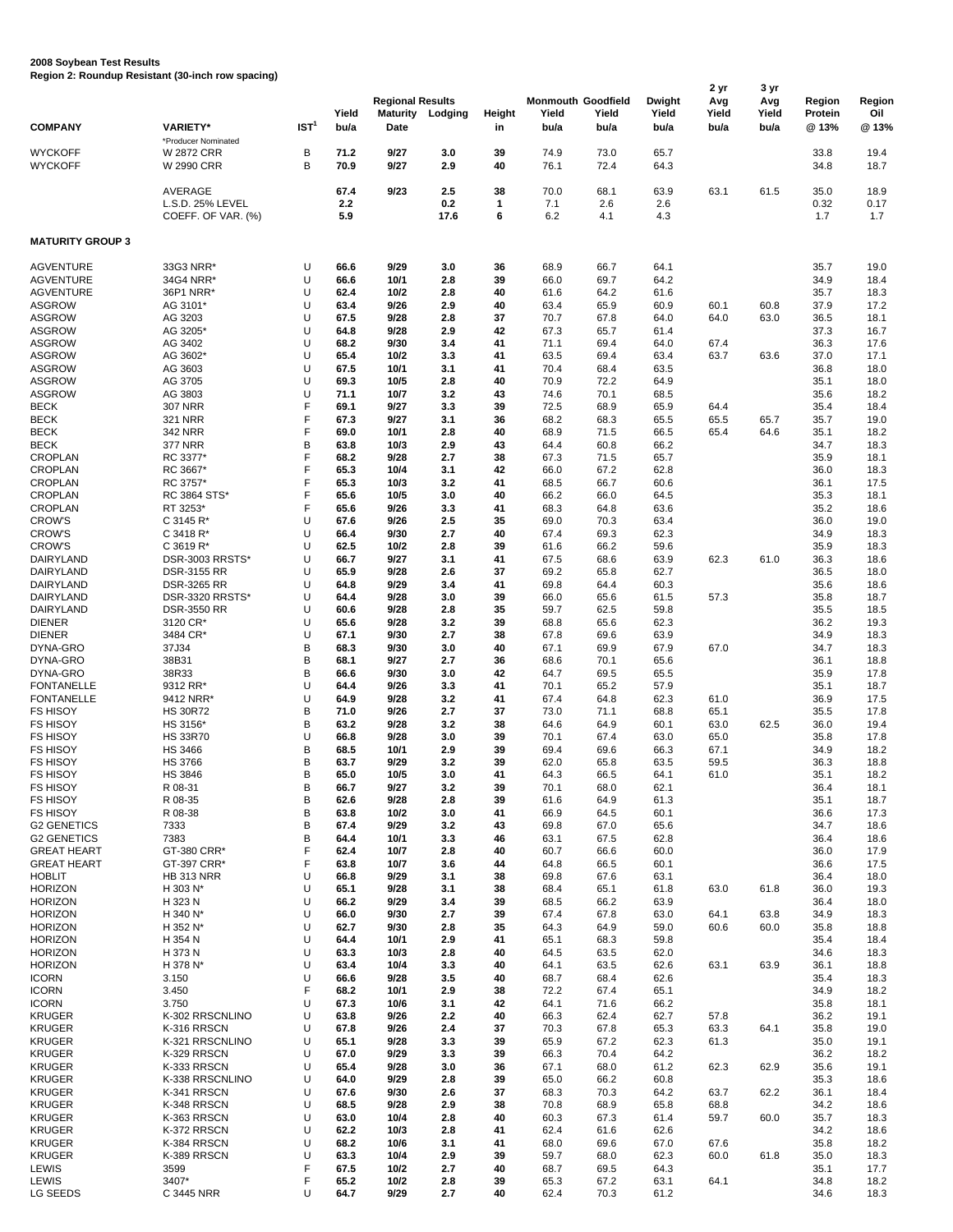## **2008 Soybean Test Results Region 2: Roundup Resistant (30-inch row spacing)**

| <b>COMPANY</b>                       | <b>VARIETY*</b>                                        | IST <sup>1</sup> | Yield<br>bu/a      | <b>Regional Results</b><br><b>Maturity</b><br>Date | Lodging            | Height<br>in | <b>Monmouth Goodfield</b><br>Yield<br>bu/a | Yield<br>bu/a      | Dwight<br>Yield<br>bu/a | 2 yr<br>Avg<br>Yield<br>bu/a | 3 yr<br>Avg<br>Yield<br>bu/a | Region<br>Protein<br>@ 13% | Region<br>Oil<br>@13% |
|--------------------------------------|--------------------------------------------------------|------------------|--------------------|----------------------------------------------------|--------------------|--------------|--------------------------------------------|--------------------|-------------------------|------------------------------|------------------------------|----------------------------|-----------------------|
| <b>WYCKOFF</b><br><b>WYCKOFF</b>     | *Producer Nominated<br><b>W 2872 CRR</b><br>W 2990 CRR | В<br>B           | 71.2<br>70.9       | 9/27<br>9/27                                       | 3.0<br>2.9         | 39<br>40     | 74.9<br>76.1                               | 73.0<br>72.4       | 65.7<br>64.3            |                              |                              | 33.8<br>34.8               | 19.4<br>18.7          |
|                                      | AVERAGE<br>L.S.D. 25% LEVEL<br>COEFF. OF VAR. (%)      |                  | 67.4<br>2.2<br>5.9 | 9/23                                               | 2.5<br>0.2<br>17.6 | 38<br>1<br>6 | 70.0<br>7.1<br>6.2                         | 68.1<br>2.6<br>4.1 | 63.9<br>2.6<br>4.3      | 63.1                         | 61.5                         | 35.0<br>0.32<br>1.7        | 18.9<br>0.17<br>1.7   |
| <b>MATURITY GROUP 3</b>              |                                                        |                  |                    |                                                    |                    |              |                                            |                    |                         |                              |                              |                            |                       |
| <b>AGVENTURE</b>                     | 33G3 NRR*                                              | U                | 66.6               | 9/29                                               | 3.0                | 36           | 68.9                                       | 66.7               | 64.1                    |                              |                              | 35.7                       | 19.0                  |
| <b>AGVENTURE</b><br><b>AGVENTURE</b> | 34G4 NRR*<br>36P1 NRR*                                 | U<br>U           | 66.6<br>62.4       | 10/1<br>10/2                                       | 2.8<br>2.8         | 39<br>40     | 66.0<br>61.6                               | 69.7<br>64.2       | 64.2<br>61.6            |                              |                              | 34.9<br>35.7               | 18.4<br>18.3          |
| <b>ASGROW</b>                        | AG 3101*                                               | U                | 63.4               | 9/26                                               | 2.9                | 40           | 63.4                                       | 65.9               | 60.9                    | 60.1                         | 60.8                         | 37.9                       | 17.2                  |
| <b>ASGROW</b>                        | AG 3203                                                | U                | 67.5               | 9/28                                               | 2.8                | 37           | 70.7                                       | 67.8               | 64.0                    | 64.0                         | 63.0                         | 36.5                       | 18.1                  |
| <b>ASGROW</b>                        | AG 3205*                                               | U                | 64.8               | 9/28                                               | 2.9                | 42           | 67.3                                       | 65.7               | 61.4                    |                              |                              | 37.3                       | 16.7                  |
| <b>ASGROW</b>                        | AG 3402                                                | U                | 68.2               | 9/30                                               | 3.4                | 41           | 71.1                                       | 69.4               | 64.0                    | 67.4                         |                              | 36.3                       | 17.6                  |
| <b>ASGROW</b>                        | AG 3602*                                               | U                | 65.4               | 10/2                                               | 3.3                | 41           | 63.5                                       | 69.4               | 63.4                    | 63.7                         | 63.6                         | 37.0                       | 17.1                  |
| <b>ASGROW</b><br><b>ASGROW</b>       | AG 3603<br>AG 3705                                     | U<br>U           | 67.5<br>69.3       | 10/1<br>10/5                                       | 3.1<br>2.8         | 41<br>40     | 70.4<br>70.9                               | 68.4<br>72.2       | 63.5<br>64.9            |                              |                              | 36.8<br>35.1               | 18.0<br>18.0          |
| <b>ASGROW</b>                        | AG 3803                                                | U                | 71.1               | 10/7                                               | 3.2                | 43           | 74.6                                       | 70.1               | 68.5                    |                              |                              | 35.6                       | 18.2                  |
| <b>BECK</b>                          | <b>307 NRR</b>                                         | F                | 69.1               | 9/27                                               | 3.3                | 39           | 72.5                                       | 68.9               | 65.9                    | 64.4                         |                              | 35.4                       | 18.4                  |
| <b>BECK</b>                          | 321 NRR                                                | F                | 67.3               | 9/27                                               | 3.1                | 36           | 68.2                                       | 68.3               | 65.5                    | 65.5                         | 65.7                         | 35.7                       | 19.0                  |
| <b>BECK</b>                          | 342 NRR                                                | F                | 69.0               | 10/1                                               | 2.8                | 40           | 68.9                                       | 71.5               | 66.5                    | 65.4                         | 64.6                         | 35.1                       | 18.2                  |
| <b>BECK</b>                          | <b>377 NRR</b>                                         | B                | 63.8               | 10/3                                               | 2.9                | 43           | 64.4                                       | 60.8               | 66.2                    |                              |                              | 34.7                       | 18.3                  |
| <b>CROPLAN</b>                       | RC 3377*                                               | F                | 68.2               | 9/28                                               | 2.7                | 38           | 67.3                                       | 71.5               | 65.7                    |                              |                              | 35.9                       | 18.1                  |
| <b>CROPLAN</b><br><b>CROPLAN</b>     | RC 3667*                                               | F<br>F           | 65.3               | 10/4                                               | 3.1<br>3.2         | 42           | 66.0                                       | 67.2               | 62.8                    |                              |                              | 36.0                       | 18.3                  |
| <b>CROPLAN</b>                       | RC 3757*<br>RC 3864 STS*                               | F                | 65.3<br>65.6       | 10/3<br>10/5                                       | 3.0                | 41<br>40     | 68.5<br>66.2                               | 66.7<br>66.0       | 60.6<br>64.5            |                              |                              | 36.1<br>35.3               | 17.5<br>18.1          |
| <b>CROPLAN</b>                       | RT 3253*                                               | F                | 65.6               | 9/26                                               | 3.3                | 41           | 68.3                                       | 64.8               | 63.6                    |                              |                              | 35.2                       | 18.6                  |
| <b>CROW'S</b>                        | C 3145 R*                                              | U                | 67.6               | 9/26                                               | 2.5                | 35           | 69.0                                       | 70.3               | 63.4                    |                              |                              | 36.0                       | 19.0                  |
| <b>CROW'S</b>                        | C 3418 R*                                              | U                | 66.4               | 9/30                                               | 2.7                | 40           | 67.4                                       | 69.3               | 62.3                    |                              |                              | 34.9                       | 18.3                  |
| <b>CROW'S</b>                        | $C$ 3619 R*                                            | U                | 62.5               | 10/2                                               | 2.8                | 39           | 61.6                                       | 66.2               | 59.6                    |                              |                              | 35.9                       | 18.3                  |
| DAIRYLAND                            | DSR-3003 RRSTS*                                        | U                | 66.7               | 9/27                                               | 3.1                | 41           | 67.5                                       | 68.6               | 63.9                    | 62.3                         | 61.0                         | 36.3                       | 18.6                  |
| DAIRYLAND<br>DAIRYLAND               | DSR-3155 RR<br><b>DSR-3265 RR</b>                      | U<br>U           | 65.9<br>64.8       | 9/28<br>9/29                                       | 2.6<br>3.4         | 37<br>41     | 69.2<br>69.8                               | 65.8<br>64.4       | 62.7<br>60.3            |                              |                              | 36.5<br>35.6               | 18.0<br>18.6          |
| DAIRYLAND                            | DSR-3320 RRSTS*                                        | U                | 64.4               | 9/28                                               | 3.0                | 39           | 66.0                                       | 65.6               | 61.5                    | 57.3                         |                              | 35.8                       | 18.7                  |
| DAIRYLAND                            | <b>DSR-3550 RR</b>                                     | U                | 60.6               | 9/28                                               | 2.8                | 35           | 59.7                                       | 62.5               | 59.8                    |                              |                              | 35.5                       | 18.5                  |
| <b>DIENER</b>                        | 3120 CR*                                               | U                | 65.6               | 9/28                                               | 3.2                | 39           | 68.8                                       | 65.6               | 62.3                    |                              |                              | 36.2                       | 19.3                  |
| <b>DIENER</b>                        | 3484 CR*                                               | U                | 67.1               | 9/30                                               | 2.7                | 38           | 67.8                                       | 69.6               | 63.9                    |                              |                              | 34.9                       | 18.3                  |
| DYNA-GRO                             | 37J34                                                  | B                | 68.3               | 9/30                                               | 3.0                | 40           | 67.1                                       | 69.9               | 67.9                    | 67.0                         |                              | 34.7                       | 18.3                  |
| DYNA-GRO                             | 38B31                                                  | B<br>B           | 68.1               | 9/27                                               | 2.7                | 36           | 68.6                                       | 70.1               | 65.6                    |                              |                              | 36.1                       | 18.8                  |
| DYNA-GRO<br><b>FONTANELLE</b>        | 38R33<br>9312 RR*                                      | U                | 66.6<br>64.4       | 9/30<br>9/26                                       | 3.0<br>3.3         | 42<br>41     | 64.7<br>70.1                               | 69.5<br>65.2       | 65.5<br>57.9            |                              |                              | 35.9<br>35.1               | 17.8<br>18.7          |
| <b>FONTANELLE</b>                    | 9412 NRR*                                              | U                | 64.9               | 9/28                                               | 3.2                | 41           | 67.4                                       | 64.8               | 62.3                    | 61.0                         |                              | 36.9                       | 17.5                  |
| <b>FS HISOY</b>                      | <b>HS 30R72</b>                                        | B                | 71.0               | 9/26                                               | 2.7                | 37           | 73.0                                       | 71.1               | 68.8                    | 65.1                         |                              | 35.5                       | 17.8                  |
| <b>FS HISOY</b>                      | HS 3156*                                               | B                | 63.2               | 9/28                                               | 3.2                | 38           | 64.6                                       | 64.9               | 60.1                    | 63.0                         | 62.5                         | 36.0                       | 19.4                  |
| <b>FS HISOY</b>                      | <b>HS 33R70</b>                                        | U                | 66.8               | 9/28                                               | 3.0                | 39           | 70.1                                       | 67.4               | 63.0                    | 65.0                         |                              | 35.8                       | 17.8                  |
| <b>FS HISOY</b>                      | <b>HS 3466</b>                                         | B                | 68.5               | 10/1                                               | 2.9                | 39           | 69.4                                       | 69.6               | 66.3                    | 67.1                         |                              | 34.9                       | 18.2                  |
| <b>FS HISOY</b>                      | <b>HS 3766</b>                                         | B<br>B           | 63.7               | 9/29                                               | 3.2                | 39<br>41     | 62.0                                       | 65.8               | 63.5                    | 59.5                         |                              | 36.3                       | 18.8                  |
| <b>FS HISOY</b><br><b>FS HISOY</b>   | <b>HS 3846</b><br>R 08-31                              | B                | 65.0<br>66.7       | 10/5<br>9/27                                       | 3.0<br>3.2         | 39           | 64.3<br>70.1                               | 66.5<br>68.0       | 64.1<br>62.1            | 61.0                         |                              | 35.1<br>36.4               | 18.2<br>18.1          |
| <b>FS HISOY</b>                      | R 08-35                                                | B                | 62.6               | 9/28                                               | 2.8                | 39           | 61.6                                       | 64.9               | 61.3                    |                              |                              | 35.1                       | 18.7                  |
| <b>FS HISOY</b>                      | R 08-38                                                | B                | 63.8               | 10/2                                               | 3.0                | 41           | 66.9                                       | 64.5               | 60.1                    |                              |                              | 36.6                       | 17.3                  |
| <b>G2 GENETICS</b>                   | 7333                                                   | B                | 67.4               | 9/29                                               | 3.2                | 43           | 69.8                                       | 67.0               | 65.6                    |                              |                              | 34.7                       | 18.6                  |
| <b>G2 GENETICS</b>                   | 7383                                                   | B                | 64.4               | 10/1                                               | 3.3                | 46           | 63.1                                       | 67.5               | 62.8                    |                              |                              | 36.4                       | 18.6                  |
| <b>GREAT HEART</b>                   | GT-380 CRR*                                            | F                | 62.4               | 10/7                                               | 2.8                | 40           | 60.7                                       | 66.6               | 60.0                    |                              |                              | 36.0                       | 17.9                  |
| <b>GREAT HEART</b><br><b>HOBLIT</b>  | GT-397 CRR*<br><b>HB 313 NRR</b>                       | F<br>U           | 63.8<br>66.8       | 10/7<br>9/29                                       | 3.6<br>3.1         | 44<br>38     | 64.8<br>69.8                               | 66.5<br>67.6       | 60.1<br>63.1            |                              |                              | 36.6<br>36.4               | 17.5<br>18.0          |
| <b>HORIZON</b>                       | H 303 N*                                               | U                | 65.1               | 9/28                                               | 3.1                | 38           | 68.4                                       | 65.1               | 61.8                    | 63.0                         | 61.8                         | 36.0                       | 19.3                  |
| <b>HORIZON</b>                       | H 323 N                                                | U                | 66.2               | 9/29                                               | 3.4                | 39           | 68.5                                       | 66.2               | 63.9                    |                              |                              | 36.4                       | 18.0                  |
| <b>HORIZON</b>                       | H 340 N*                                               | U                | 66.0               | 9/30                                               | 2.7                | 39           | 67.4                                       | 67.8               | 63.0                    | 64.1                         | 63.8                         | 34.9                       | 18.3                  |
| <b>HORIZON</b>                       | H 352 N*                                               | U                | 62.7               | 9/30                                               | 2.8                | 35           | 64.3                                       | 64.9               | 59.0                    | 60.6                         | 60.0                         | 35.8                       | 18.8                  |
| <b>HORIZON</b>                       | H 354 N                                                | U                | 64.4               | 10/1                                               | 2.9                | 41           | 65.1                                       | 68.3               | 59.8                    |                              |                              | 35.4                       | 18.4                  |
| <b>HORIZON</b>                       | H 373 N                                                | U<br>U           | 63.3               | 10/3                                               | 2.8                | 40           | 64.5                                       | 63.5               | 62.0                    |                              |                              | 34.6                       | 18.3                  |
| <b>HORIZON</b><br><b>ICORN</b>       | H 378 N*<br>3.150                                      | U                | 63.4<br>66.6       | 10/4<br>9/28                                       | 3.3<br>3.5         | 40<br>40     | 64.1<br>68.7                               | 63.5<br>68.4       | 62.6<br>62.6            | 63.1                         | 63.9                         | 36.1<br>35.4               | 18.8<br>18.3          |
| <b>ICORN</b>                         | 3.450                                                  | F                | 68.2               | 10/1                                               | 2.9                | 38           | 72.2                                       | 67.4               | 65.1                    |                              |                              | 34.9                       | 18.2                  |
| <b>ICORN</b>                         | 3.750                                                  | U                | 67.3               | 10/6                                               | 3.1                | 42           | 64.1                                       | 71.6               | 66.2                    |                              |                              | 35.8                       | 18.1                  |
| <b>KRUGER</b>                        | K-302 RRSCNLINO                                        | U                | 63.8               | 9/26                                               | 2.2                | 40           | 66.3                                       | 62.4               | 62.7                    | 57.8                         |                              | 36.2                       | 19.1                  |
| <b>KRUGER</b>                        | K-316 RRSCN                                            | U                | 67.8               | 9/26                                               | 2.4                | 37           | 70.3                                       | 67.8               | 65.3                    | 63.3                         | 64.1                         | 35.8                       | 19.0                  |
| <b>KRUGER</b>                        | K-321 RRSCNLINO                                        | U                | 65.1               | 9/28                                               | 3.3                | 39           | 65.9                                       | 67.2               | 62.3                    | 61.3                         |                              | 35.0                       | 19.1                  |
| <b>KRUGER</b><br><b>KRUGER</b>       | K-329 RRSCN<br>K-333 RRSCN                             | U<br>U           | 67.0<br>65.4       | 9/29<br>9/28                                       | 3.3<br>3.0         | 39<br>36     | 66.3<br>67.1                               | 70.4<br>68.0       | 64.2<br>61.2            | 62.3                         | 62.9                         | 36.2<br>35.6               | 18.2<br>19.1          |
| <b>KRUGER</b>                        | K-338 RRSCNLINO                                        | U                | 64.0               | 9/29                                               | 2.8                | 39           | 65.0                                       | 66.2               | 60.8                    |                              |                              | 35.3                       | 18.6                  |
| <b>KRUGER</b>                        | K-341 RRSCN                                            | U                | 67.6               | 9/30                                               | 2.6                | 37           | 68.3                                       | 70.3               | 64.2                    | 63.7                         | 62.2                         | 36.1                       | 18.4                  |
| <b>KRUGER</b>                        | K-348 RRSCN                                            | U                | 68.5               | 9/28                                               | 2.9                | 38           | 70.8                                       | 68.9               | 65.8                    | 68.8                         |                              | 34.2                       | 18.6                  |
| <b>KRUGER</b>                        | K-363 RRSCN                                            | U                | 63.0               | 10/4                                               | 2.8                | 40           | 60.3                                       | 67.3               | 61.4                    | 59.7                         | 60.0                         | 35.7                       | 18.3                  |
| <b>KRUGER</b>                        | K-372 RRSCN                                            | U                | 62.2               | 10/3                                               | 2.8                | 41           | 62.4                                       | 61.6               | 62.6                    |                              |                              | 34.2                       | 18.6                  |
| <b>KRUGER</b>                        | K-384 RRSCN                                            | U                | 68.2               | 10/6                                               | 3.1                | 41           | 68.0                                       | 69.6               | 67.0                    | 67.6                         |                              | 35.8                       | 18.2                  |
| <b>KRUGER</b><br>LEWIS               | K-389 RRSCN<br>3599                                    | U<br>F           | 63.3<br>67.5       | 10/4<br>10/2                                       | 2.9<br>2.7         | 39<br>40     | 59.7<br>68.7                               | 68.0<br>69.5       | 62.3<br>64.3            | 60.0                         | 61.8                         | 35.0<br>35.1               | 18.3<br>17.7          |
| LEWIS                                | 3407*                                                  | F                | 65.2               | 10/2                                               | 2.8                | 39           | 65.3                                       | 67.2               | 63.1                    | 64.1                         |                              | 34.8                       | 18.2                  |
| LG SEEDS                             | C 3445 NRR                                             | U                | 64.7               | 9/29                                               | 2.7                | 40           | 62.4                                       | 70.3               | 61.2                    |                              |                              | 34.6                       | 18.3                  |